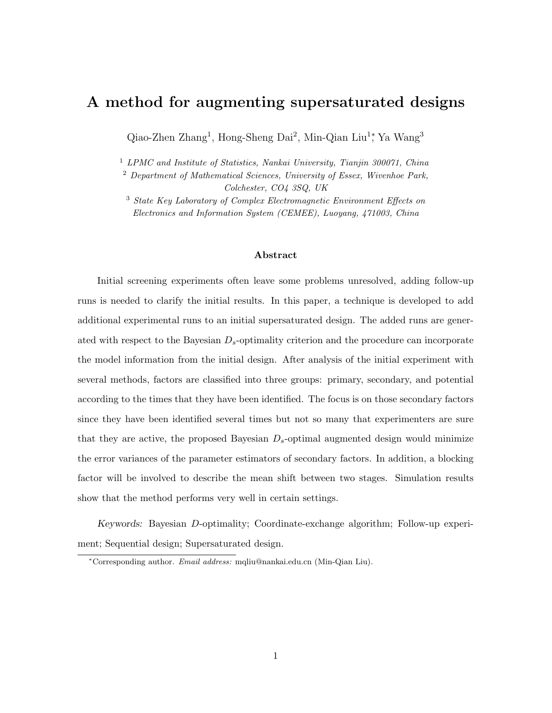# A method for augmenting supersaturated designs

Qiao-Zhen Zhang<sup>1</sup>, Hong-Sheng Dai<sup>2</sup>, Min-Qian Liu<sup>1</sup>; Ya Wang<sup>3</sup>

<sup>1</sup> LPMC and Institute of Statistics, Nankai University, Tianjin 300071, China

<sup>2</sup> Department of Mathematical Sciences, University of Essex, Wivenhoe Park,

Colchester, CO4 3SQ, UK

<sup>3</sup> State Key Laboratory of Complex Electromagnetic Environment Effects on Electronics and Information System (CEMEE), Luoyang, 471003, China

#### Abstract

Initial screening experiments often leave some problems unresolved, adding follow-up runs is needed to clarify the initial results. In this paper, a technique is developed to add additional experimental runs to an initial supersaturated design. The added runs are generated with respect to the Bayesian  $D_s$ -optimality criterion and the procedure can incorporate the model information from the initial design. After analysis of the initial experiment with several methods, factors are classified into three groups: primary, secondary, and potential according to the times that they have been identified. The focus is on those secondary factors since they have been identified several times but not so many that experimenters are sure that they are active, the proposed Bayesian  $D_s$ -optimal augmented design would minimize the error variances of the parameter estimators of secondary factors. In addition, a blocking factor will be involved to describe the mean shift between two stages. Simulation results show that the method performs very well in certain settings.

Keywords: Bayesian D-optimality; Coordinate-exchange algorithm; Follow-up experiment; Sequential design; Supersaturated design.

<sup>∗</sup>Corresponding author. Email address: mqliu@nankai.edu.cn (Min-Qian Liu).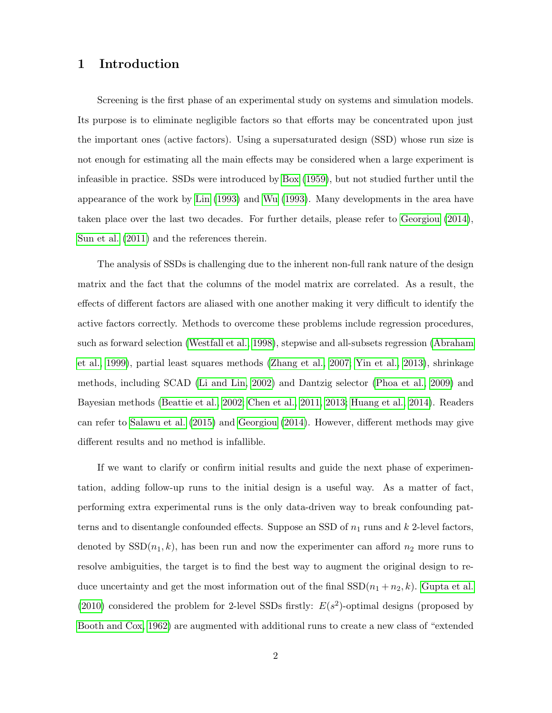### 1 Introduction

Screening is the first phase of an experimental study on systems and simulation models. Its purpose is to eliminate negligible factors so that efforts may be concentrated upon just the important ones (active factors). Using a supersaturated design (SSD) whose run size is not enough for estimating all the main effects may be considered when a large experiment is infeasible in practice. SSDs were introduced by [Box](#page-23-0) [\(1959\)](#page-23-0), but not studied further until the appearance of the work by [Lin](#page-24-0) [\(1993\)](#page-24-0) and [Wu](#page-25-0) [\(1993\)](#page-25-0). Many developments in the area have taken place over the last two decades. For further details, please refer to [Georgiou](#page-24-1) [\(2014\)](#page-24-1), [Sun et al.](#page-25-1) [\(2011\)](#page-25-1) and the references therein.

The analysis of SSDs is challenging due to the inherent non-full rank nature of the design matrix and the fact that the columns of the model matrix are correlated. As a result, the effects of different factors are aliased with one another making it very difficult to identify the active factors correctly. Methods to overcome these problems include regression procedures, such as forward selection [\(Westfall et al., 1998\)](#page-25-2), stepwise and all-subsets regression [\(Abraham](#page-23-1) [et al., 1999\)](#page-23-1), partial least squares methods [\(Zhang et al., 2007;](#page-25-3) [Yin et al., 2013\)](#page-25-4), shrinkage methods, including SCAD [\(Li and Lin, 2002\)](#page-24-2) and Dantzig selector [\(Phoa et al., 2009\)](#page-25-5) and Bayesian methods [\(Beattie et al., 2002;](#page-23-2) [Chen et al., 2011,](#page-23-3) [2013;](#page-23-4) [Huang et al., 2014\)](#page-24-3). Readers can refer to [Salawu et al.](#page-25-6) [\(2015\)](#page-25-6) and [Georgiou](#page-24-1) [\(2014\)](#page-24-1). However, different methods may give different results and no method is infallible.

If we want to clarify or confirm initial results and guide the next phase of experimentation, adding follow-up runs to the initial design is a useful way. As a matter of fact, performing extra experimental runs is the only data-driven way to break confounding patterns and to disentangle confounded effects. Suppose an SSD of  $n_1$  runs and k 2-level factors, denoted by  $SSD(n_1, k)$ , has been run and now the experimenter can afford  $n_2$  more runs to resolve ambiguities, the target is to find the best way to augment the original design to reduce uncertainty and get the most information out of the final  $SSD(n_1 + n_2, k)$ . [Gupta et al.](#page-24-4) [\(2010\)](#page-24-4) considered the problem for 2-level SSDs firstly:  $E(s^2)$ -optimal designs (proposed by [Booth and Cox, 1962\)](#page-23-5) are augmented with additional runs to create a new class of "extended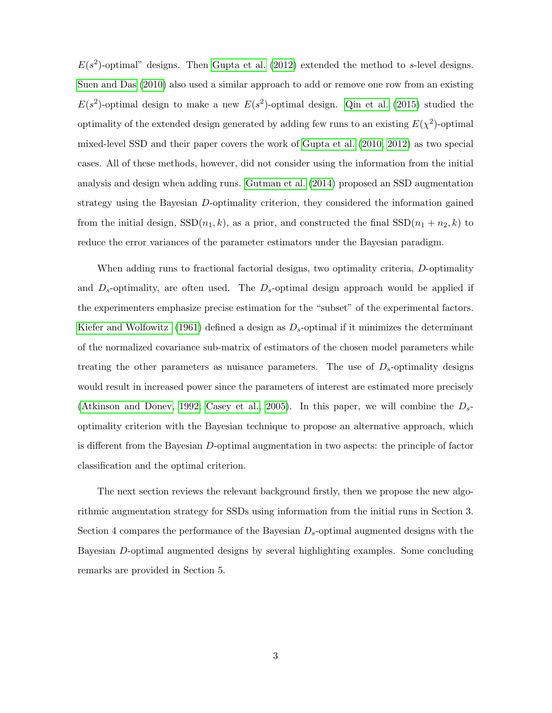$E(s^2)$ -optimal" designs. Then [Gupta et al.](#page-24-5) [\(2012\)](#page-24-5) extended the method to s-level designs. [Suen and Das](#page-25-7) [\(2010\)](#page-25-7) also used a similar approach to add or remove one row from an existing  $E(s^2)$ -optimal design to make a new  $E(s^2)$ -optimal design. [Qin et al.](#page-25-8) [\(2015\)](#page-25-8) studied the optimality of the extended design generated by adding few runs to an existing  $E(\chi^2)$ -optimal mixed-level SSD and their paper covers the work of [Gupta et al.](#page-24-4) [\(2010,](#page-24-4) [2012\)](#page-24-5) as two special cases. All of these methods, however, did not consider using the information from the initial analysis and design when adding runs. [Gutman et al.](#page-24-6) [\(2014\)](#page-24-6) proposed an SSD augmentation strategy using the Bayesian D-optimality criterion, they considered the information gained from the initial design,  $SSD(n_1, k)$ , as a prior, and constructed the final  $SSD(n_1 + n_2, k)$  to reduce the error variances of the parameter estimators under the Bayesian paradigm.

When adding runs to fractional factorial designs, two optimality criteria, D-optimality and  $D_s$ -optimality, are often used. The  $D_s$ -optimal design approach would be applied if the experimenters emphasize precise estimation for the "subset" of the experimental factors. [Kiefer and Wolfowitz](#page-24-7) [\(1961\)](#page-24-7) defined a design as  $D_s$ -optimal if it minimizes the determinant of the normalized covariance sub-matrix of estimators of the chosen model parameters while treating the other parameters as nuisance parameters. The use of  $D_{s}$ -optimality designs would result in increased power since the parameters of interest are estimated more precisely [\(Atkinson and Donev, 1992;](#page-23-6) [Casey et al., 2005\)](#page-23-7). In this paper, we will combine the  $D_{s}$ optimality criterion with the Bayesian technique to propose an alternative approach, which is different from the Bayesian D-optimal augmentation in two aspects: the principle of factor classification and the optimal criterion.

The next section reviews the relevant background firstly, then we propose the new algorithmic augmentation strategy for SSDs using information from the initial runs in Section 3. Section 4 compares the performance of the Bayesian  $D_s$ -optimal augmented designs with the Bayesian D-optimal augmented designs by several highlighting examples. Some concluding remarks are provided in Section 5.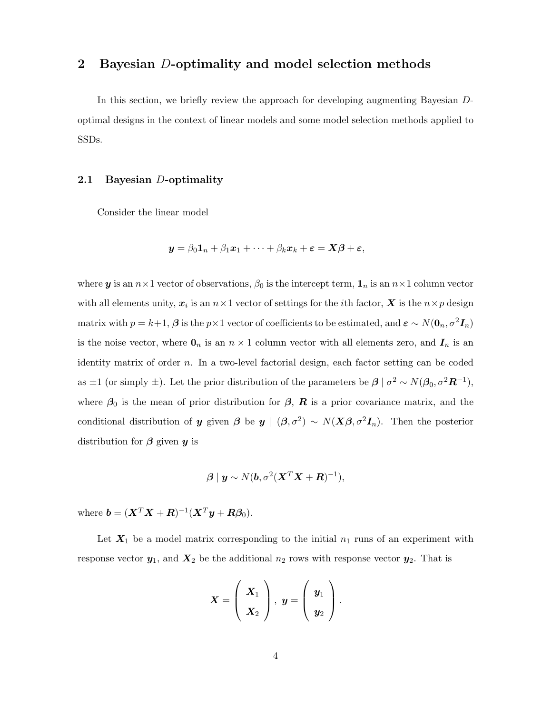### 2 Bayesian D-optimality and model selection methods

In this section, we briefly review the approach for developing augmenting Bayesian Doptimal designs in the context of linear models and some model selection methods applied to SSDs.

#### 2.1 Bayesian D-optimality

Consider the linear model

$$
\mathbf{y} = \beta_0 \mathbf{1}_n + \beta_1 \mathbf{x}_1 + \cdots + \beta_k \mathbf{x}_k + \boldsymbol{\varepsilon} = \mathbf{X}\boldsymbol{\beta} + \boldsymbol{\varepsilon},
$$

where **y** is an  $n \times 1$  vector of observations,  $\beta_0$  is the intercept term,  $\mathbf{1}_n$  is an  $n \times 1$  column vector with all elements unity,  $x_i$  is an  $n \times 1$  vector of settings for the *i*th factor,  $X$  is the  $n \times p$  design matrix with  $p = k+1$ ,  $\beta$  is the  $p \times 1$  vector of coefficients to be estimated, and  $\varepsilon \sim N(\mathbf{0}_n, \sigma^2 \mathbf{I}_n)$ is the noise vector, where  $\mathbf{0}_n$  is an  $n \times 1$  column vector with all elements zero, and  $\mathbf{I}_n$  is an identity matrix of order n. In a two-level factorial design, each factor setting can be coded as  $\pm 1$  (or simply  $\pm$ ). Let the prior distribution of the parameters be  $\beta \mid \sigma^2 \sim N(\beta_0, \sigma^2 \mathbf{R}^{-1}),$ where  $\beta_0$  is the mean of prior distribution for  $\beta$ , **R** is a prior covariance matrix, and the conditional distribution of y given  $\beta$  be  $y \mid (\beta, \sigma^2) \sim N(X\beta, \sigma^2 I_n)$ . Then the posterior distribution for  $\beta$  given  $y$  is

$$
\boldsymbol{\beta} \mid \boldsymbol{y} \sim N(\boldsymbol{b}, \sigma^2 (\boldsymbol{X}^T \boldsymbol{X} + \boldsymbol{R})^{-1}),
$$

where  $\boldsymbol{b} = (\boldsymbol{X}^T\boldsymbol{X} + \boldsymbol{R})^{-1}(\boldsymbol{X}^T\boldsymbol{y} + \boldsymbol{R}\boldsymbol{\beta}_0).$ 

Let  $X_1$  be a model matrix corresponding to the initial  $n_1$  runs of an experiment with response vector  $y_1$ , and  $X_2$  be the additional  $n_2$  rows with response vector  $y_2$ . That is

$$
X=\left(\begin{array}{c} X_1 \\ X_2 \end{array}\right), \ y=\left(\begin{array}{c} y_1 \\ y_2 \end{array}\right).
$$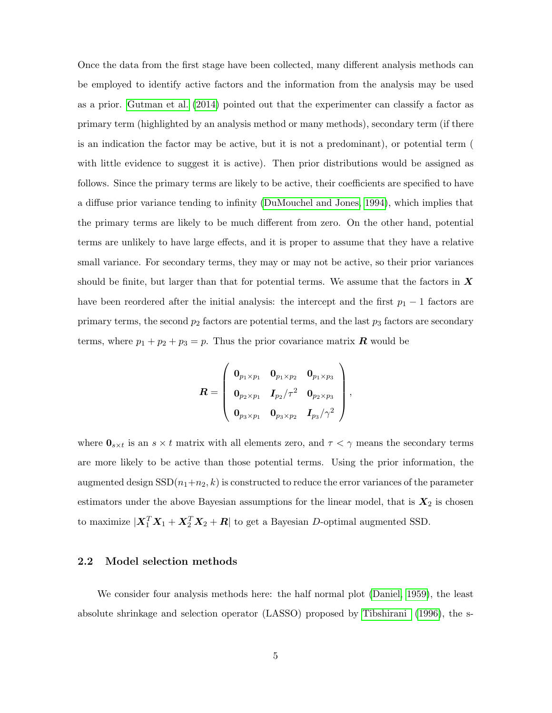Once the data from the first stage have been collected, many different analysis methods can be employed to identify active factors and the information from the analysis may be used as a prior. [Gutman et al.](#page-24-6) [\(2014\)](#page-24-6) pointed out that the experimenter can classify a factor as primary term (highlighted by an analysis method or many methods), secondary term (if there is an indication the factor may be active, but it is not a predominant), or potential term ( with little evidence to suggest it is active). Then prior distributions would be assigned as follows. Since the primary terms are likely to be active, their coefficients are specified to have a diffuse prior variance tending to infinity [\(DuMouchel and Jones, 1994\)](#page-24-8), which implies that the primary terms are likely to be much different from zero. On the other hand, potential terms are unlikely to have large effects, and it is proper to assume that they have a relative small variance. For secondary terms, they may or may not be active, so their prior variances should be finite, but larger than that for potential terms. We assume that the factors in  $\boldsymbol{X}$ have been reordered after the initial analysis: the intercept and the first  $p_1 - 1$  factors are primary terms, the second  $p_2$  factors are potential terms, and the last  $p_3$  factors are secondary terms, where  $p_1 + p_2 + p_3 = p$ . Thus the prior covariance matrix **R** would be

$$
\bm{R} = \left(\begin{array}{ccc} \bm{0}_{p_1 \times p_1} & \bm{0}_{p_1 \times p_2} & \bm{0}_{p_1 \times p_3} \\ \bm{0}_{p_2 \times p_1} & \bm{I}_{p_2}/\tau^2 & \bm{0}_{p_2 \times p_3} \\ \bm{0}_{p_3 \times p_1} & \bm{0}_{p_3 \times p_2} & \bm{I}_{p_3}/\gamma^2 \end{array}\right),
$$

where  $\mathbf{0}_{s \times t}$  is an  $s \times t$  matrix with all elements zero, and  $\tau < \gamma$  means the secondary terms are more likely to be active than those potential terms. Using the prior information, the augmented design  $SSD(n_1+n_2, k)$  is constructed to reduce the error variances of the parameter estimators under the above Bayesian assumptions for the linear model, that is  $X_2$  is chosen to maximize  $|\boldsymbol{X}_1^T\boldsymbol{X}_1 + \boldsymbol{X}_2^T\boldsymbol{X}_2 + \boldsymbol{R}|$  to get a Bayesian D-optimal augmented SSD.

#### <span id="page-4-0"></span>2.2 Model selection methods

We consider four analysis methods here: the half normal plot [\(Daniel, 1959\)](#page-24-9), the least absolute shrinkage and selection operator (LASSO) proposed by [Tibshirani](#page-25-9) [\(1996\)](#page-25-9), the s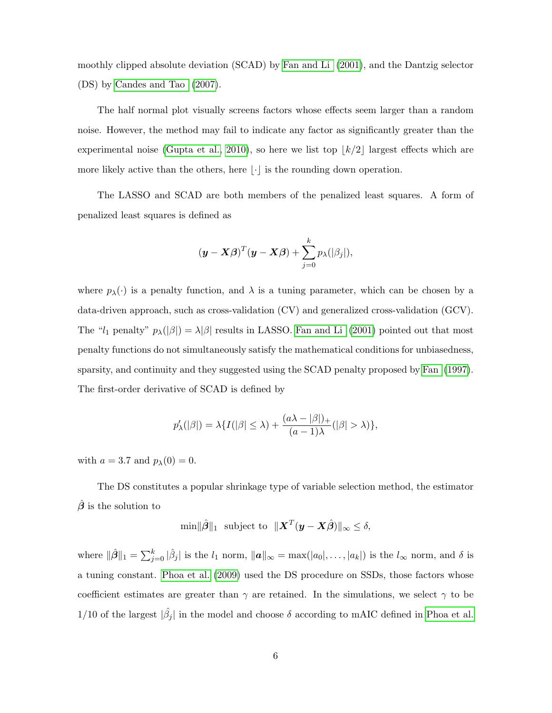moothly clipped absolute deviation (SCAD) by [Fan and Li](#page-24-10) [\(2001\)](#page-24-10), and the Dantzig selector (DS) by [Candes and Tao](#page-23-8) [\(2007\)](#page-23-8).

The half normal plot visually screens factors whose effects seem larger than a random noise. However, the method may fail to indicate any factor as significantly greater than the experimental noise [\(Gupta et al., 2010\)](#page-24-4), so here we list top  $|k/2|$  largest effects which are more likely active than the others, here  $|\cdot|$  is the rounding down operation.

The LASSO and SCAD are both members of the penalized least squares. A form of penalized least squares is defined as

$$
(\boldsymbol{y} - \boldsymbol{X}\boldsymbol{\beta})^T(\boldsymbol{y} - \boldsymbol{X}\boldsymbol{\beta}) + \sum_{j=0}^k p_{\lambda}(|\beta_j|),
$$

where  $p_{\lambda}(\cdot)$  is a penalty function, and  $\lambda$  is a tuning parameter, which can be chosen by a data-driven approach, such as cross-validation (CV) and generalized cross-validation (GCV). The "l<sub>1</sub> penalty"  $p_{\lambda}(|\beta|) = \lambda |\beta|$  results in LASSO. [Fan and Li](#page-24-10) [\(2001\)](#page-24-10) pointed out that most penalty functions do not simultaneously satisfy the mathematical conditions for unbiasedness, sparsity, and continuity and they suggested using the SCAD penalty proposed by [Fan](#page-24-11) [\(1997\)](#page-24-11). The first-order derivative of SCAD is defined by

$$
p'_{\lambda}(|\beta|) = \lambda \{ I(|\beta| \leq \lambda) + \frac{(a\lambda - |\beta|)_{+}}{(a-1)\lambda} (|\beta| > \lambda) \},\
$$

with  $a = 3.7$  and  $p_{\lambda}(0) = 0$ .

The DS constitutes a popular shrinkage type of variable selection method, the estimator  $\hat{\beta}$  is the solution to

$$
\min \|\hat{\boldsymbol{\beta}}\|_1 \text{ subject to } \|\boldsymbol{X}^T(\boldsymbol{y} - \boldsymbol{X}\hat{\boldsymbol{\beta}})\|_{\infty} \leq \delta,
$$

where  $\|\hat{\beta}\|_1 = \sum_{j=0}^k |\hat{\beta}_j|$  is the  $l_1$  norm,  $\|\boldsymbol{a}\|_{\infty} = \max(|a_0|, \ldots, |a_k|)$  is the  $l_{\infty}$  norm, and  $\delta$  is a tuning constant. [Phoa et al.](#page-25-5) [\(2009\)](#page-25-5) used the DS procedure on SSDs, those factors whose coefficient estimates are greater than  $\gamma$  are retained. In the simulations, we select  $\gamma$  to be 1/10 of the largest  $|\hat{\beta}_j|$  in the model and choose  $\delta$  according to mAIC defined in [Phoa et al.](#page-25-5)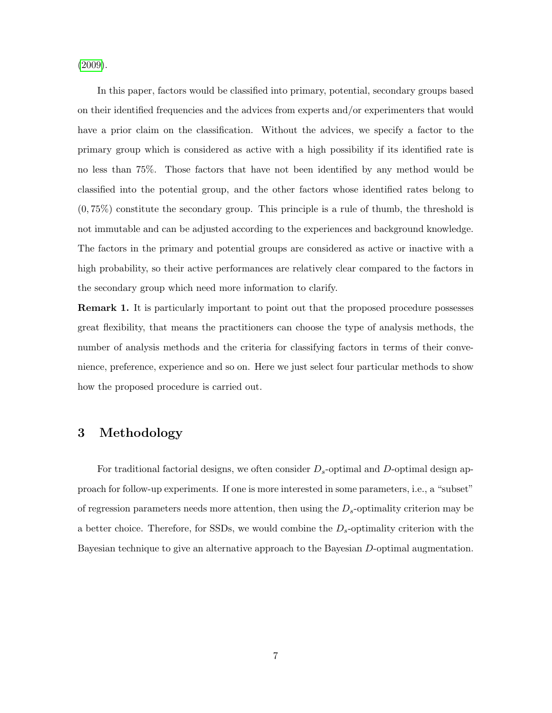[\(2009\)](#page-25-5).

In this paper, factors would be classified into primary, potential, secondary groups based on their identified frequencies and the advices from experts and/or experimenters that would have a prior claim on the classification. Without the advices, we specify a factor to the primary group which is considered as active with a high possibility if its identified rate is no less than 75%. Those factors that have not been identified by any method would be classified into the potential group, and the other factors whose identified rates belong to (0, 75%) constitute the secondary group. This principle is a rule of thumb, the threshold is not immutable and can be adjusted according to the experiences and background knowledge. The factors in the primary and potential groups are considered as active or inactive with a high probability, so their active performances are relatively clear compared to the factors in the secondary group which need more information to clarify.

**Remark 1.** It is particularly important to point out that the proposed procedure possesses great flexibility, that means the practitioners can choose the type of analysis methods, the number of analysis methods and the criteria for classifying factors in terms of their convenience, preference, experience and so on. Here we just select four particular methods to show how the proposed procedure is carried out.

### 3 Methodology

For traditional factorial designs, we often consider  $D_s$ -optimal and D-optimal design approach for follow-up experiments. If one is more interested in some parameters, i.e., a "subset" of regression parameters needs more attention, then using the  $D_s$ -optimality criterion may be a better choice. Therefore, for SSDs, we would combine the  $D_s$ -optimality criterion with the Bayesian technique to give an alternative approach to the Bayesian D-optimal augmentation.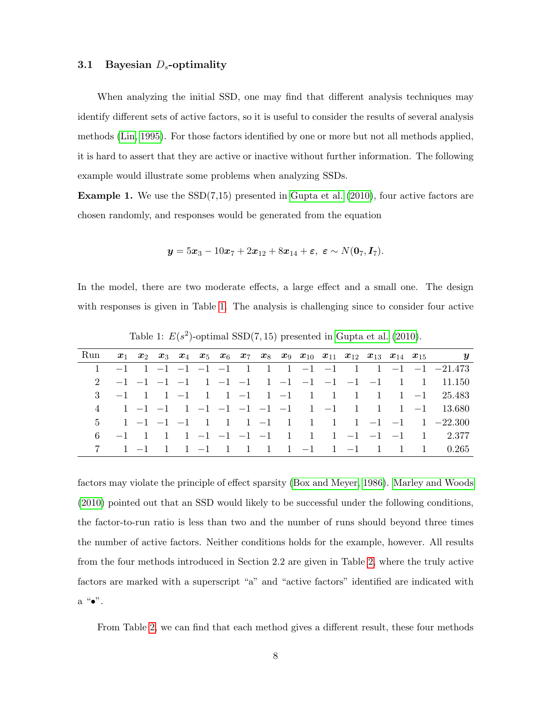#### 3.1 Bayesian  $D_s$ -optimality

When analyzing the initial SSD, one may find that different analysis techniques may identify different sets of active factors, so it is useful to consider the results of several analysis methods [\(Lin, 1995\)](#page-24-12). For those factors identified by one or more but not all methods applied, it is hard to assert that they are active or inactive without further information. The following example would illustrate some problems when analyzing SSDs.

<span id="page-7-1"></span>**Example 1.** We use the  $SSD(7,15)$  presented in [Gupta et al.](#page-24-4)  $(2010)$ , four active factors are chosen randomly, and responses would be generated from the equation

$$
\mathbf{y}=5\mathbf{x}_3-10\mathbf{x}_7+2\mathbf{x}_{12}+8\mathbf{x}_{14}+\boldsymbol{\varepsilon},\ \boldsymbol{\varepsilon}\sim N(\mathbf{0}_7,\mathbf{I}_7).
$$

In the model, there are two moderate effects, a large effect and a small one. The design with responses is given in Table [1.](#page-7-0) The analysis is challenging since to consider four active

| Run |  |  |  |  |  |  |  | $x_1$ $x_2$ $x_3$ $x_4$ $x_5$ $x_6$ $x_7$ $x_8$ $x_9$ $x_{10}$ $x_{11}$ $x_{12}$ $x_{13}$ $x_{14}$ $x_{15}$ $y$                     |
|-----|--|--|--|--|--|--|--|-------------------------------------------------------------------------------------------------------------------------------------|
|     |  |  |  |  |  |  |  |                                                                                                                                     |
|     |  |  |  |  |  |  |  |                                                                                                                                     |
|     |  |  |  |  |  |  |  | 3 -1 1 1 -1 1 1 -1 1 -1 1 1 1 1 1 -1 25.483                                                                                         |
|     |  |  |  |  |  |  |  | 4 1 -1 -1 1 -1 -1 -1 -1 -1 1 -1 1 1 -1 1 3.680                                                                                      |
|     |  |  |  |  |  |  |  | 5 1 -1 -1 -1 1 1 1 -1 1 1 1 1 -1 -1 1 -22.300                                                                                       |
|     |  |  |  |  |  |  |  | 6 -1 1 1 1 -1 -1 -1 -1 1 1 -1 -1 -1 -1 1 2.377                                                                                      |
|     |  |  |  |  |  |  |  | $1 \quad -1 \quad 1 \quad 1 \quad -1 \quad 1 \quad 1 \quad 1 \quad 1 \quad -1 \quad 1 \quad -1 \quad 1 \quad 1 \quad 1 \quad 0.265$ |

<span id="page-7-0"></span>Table 1:  $E(s^2)$ -optimal SSD(7,15) presented in [Gupta et al.](#page-24-4) [\(2010\)](#page-24-4).

factors may violate the principle of effect sparsity [\(Box and Meyer, 1986\)](#page-23-9). [Marley and Woods](#page-25-10) [\(2010\)](#page-25-10) pointed out that an SSD would likely to be successful under the following conditions, the factor-to-run ratio is less than two and the number of runs should beyond three times the number of active factors. Neither conditions holds for the example, however. All results from the four methods introduced in Section 2.2 are given in Table [2,](#page-8-0) where the truly active factors are marked with a superscript "a" and "active factors" identified are indicated with  $a^{\alpha} \bullet$ ".

From Table [2,](#page-8-0) we can find that each method gives a different result, these four methods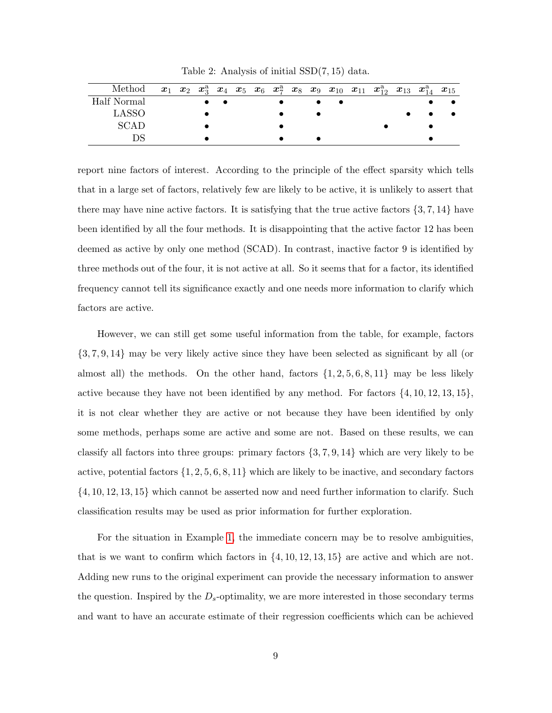| Method      |  |  |  |  |  | $x_1$ $x_2$ $x_3^a$ $x_4$ $x_5$ $x_6$ $x_7^a$ $x_8$ $x_9$ $x_{10}$ $x_{11}$ $x_{12}^a$ $x_{13}$ $x_{14}^a$ $x_{15}$ |  |  |
|-------------|--|--|--|--|--|---------------------------------------------------------------------------------------------------------------------|--|--|
| Half Normal |  |  |  |  |  |                                                                                                                     |  |  |
| LASSO       |  |  |  |  |  |                                                                                                                     |  |  |
| SCAD        |  |  |  |  |  |                                                                                                                     |  |  |
|             |  |  |  |  |  |                                                                                                                     |  |  |

<span id="page-8-0"></span>Table 2: Analysis of initial SSD(7, 15) data.

report nine factors of interest. According to the principle of the effect sparsity which tells that in a large set of factors, relatively few are likely to be active, it is unlikely to assert that there may have nine active factors. It is satisfying that the true active factors  $\{3, 7, 14\}$  have been identified by all the four methods. It is disappointing that the active factor 12 has been deemed as active by only one method (SCAD). In contrast, inactive factor 9 is identified by three methods out of the four, it is not active at all. So it seems that for a factor, its identified frequency cannot tell its significance exactly and one needs more information to clarify which factors are active.

However, we can still get some useful information from the table, for example, factors {3, 7, 9, 14} may be very likely active since they have been selected as significant by all (or almost all) the methods. On the other hand, factors  $\{1, 2, 5, 6, 8, 11\}$  may be less likely active because they have not been identified by any method. For factors  $\{4, 10, 12, 13, 15\}$ , it is not clear whether they are active or not because they have been identified by only some methods, perhaps some are active and some are not. Based on these results, we can classify all factors into three groups: primary factors {3, 7, 9, 14} which are very likely to be active, potential factors  $\{1, 2, 5, 6, 8, 11\}$  which are likely to be inactive, and secondary factors {4, 10, 12, 13, 15} which cannot be asserted now and need further information to clarify. Such classification results may be used as prior information for further exploration.

For the situation in Example [1,](#page-7-1) the immediate concern may be to resolve ambiguities, that is we want to confirm which factors in  $\{4, 10, 12, 13, 15\}$  are active and which are not. Adding new runs to the original experiment can provide the necessary information to answer the question. Inspired by the  $D_s$ -optimality, we are more interested in those secondary terms and want to have an accurate estimate of their regression coefficients which can be achieved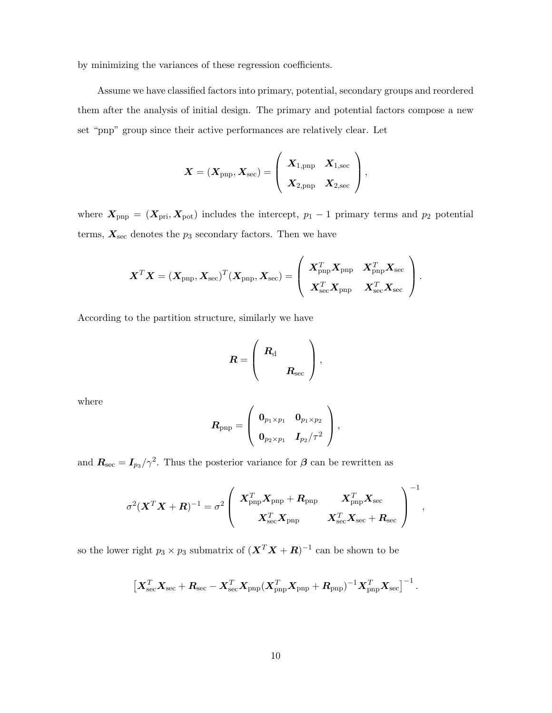by minimizing the variances of these regression coefficients.

Assume we have classified factors into primary, potential, secondary groups and reordered them after the analysis of initial design. The primary and potential factors compose a new set "pnp" group since their active performances are relatively clear. Let

$$
\boldsymbol{X} = (\boldsymbol{X}_{\text{pnp}}, \boldsymbol{X}_{\text{sec}}) = \left(\begin{array}{cc} \boldsymbol{X}_{1,\text{pnp}} & \boldsymbol{X}_{1,\text{sec}}\\ \boldsymbol{X}_{2,\text{pnp}} & \boldsymbol{X}_{2,\text{sec}} \end{array}\right),
$$

where  $X_{\text{pnp}} = (X_{\text{pri}}, X_{\text{pot}})$  includes the intercept,  $p_1 - 1$  primary terms and  $p_2$  potential terms,  $\boldsymbol{X_{\text{sec}}}$  denotes the  $p_3$  secondary factors. Then we have

$$
\boldsymbol{X}^T\boldsymbol{X}=(\boldsymbol{X}_{\text{pnp}},\boldsymbol{X}_{\text{sec}})^T(\boldsymbol{X}_{\text{pnp}},\boldsymbol{X}_{\text{sec}})=\left(\begin{array}{cc} \boldsymbol{X}_{\text{pnp}}^T\boldsymbol{X}_{\text{pnp}} & \boldsymbol{X}_{\text{pnp}}^T\boldsymbol{X}_{\text{sec}} \\ \boldsymbol{X}_{\text{sec}}^T\boldsymbol{X}_{\text{pnp}} & \boldsymbol{X}_{\text{sec}}^T\boldsymbol{X}_{\text{sec}} \end{array}\right).
$$

According to the partition structure, similarly we have

$$
R = \left(\begin{array}{c} R_{\rm d} \\ & \\ R_{\rm sec} \end{array}\right),
$$

where

$$
\boldsymbol{R}_{\text{pnp}}=\left(\begin{array}{cc} \boldsymbol{0}_{p_1\times p_1} & \boldsymbol{0}_{p_1\times p_2}\\ \boldsymbol{0}_{p_2\times p_1} & \boldsymbol{I}_{p_2}/\tau^2 \end{array}\right)
$$

,

and  $R_{\text{sec}} = I_{p_3}/\gamma^2$ . Thus the posterior variance for  $\beta$  can be rewritten as

$$
\sigma^2(\boldsymbol X^T\boldsymbol X+\boldsymbol R)^{-1}=\sigma^2\left(\begin{array}{cc} \boldsymbol X_{\rm pnp}^T\boldsymbol X_{\rm pnp}+\boldsymbol R_{\rm pnp} & \boldsymbol X_{\rm pnp}^T\boldsymbol X_{\rm sec}\\ \boldsymbol X_{\rm sec}^T\boldsymbol X_{\rm pnp} & \boldsymbol X_{\rm sec}^T\boldsymbol X_{\rm sec}+\boldsymbol R_{\rm sec}\end{array}\right)^{-1},
$$

so the lower right  $p_3 \times p_3$  submatrix of  $(\boldsymbol{X}^T \boldsymbol{X} + \boldsymbol{R})^{-1}$  can be shown to be

$$
\left[ \boldsymbol{X}_{\text{sec}}^T \boldsymbol{X}_{\text{sec}} + \boldsymbol{R}_{\text{sec}} - \boldsymbol{X}_{\text{sec}}^T \boldsymbol{X}_{\text{pnp}} (\boldsymbol{X}_{\text{pnp}}^T \boldsymbol{X}_{\text{pnp}} + \boldsymbol{R}_{\text{pnp}})^{-1} \boldsymbol{X}_{\text{pnp}}^T \boldsymbol{X}_{\text{sec}} \right]^{-1}.
$$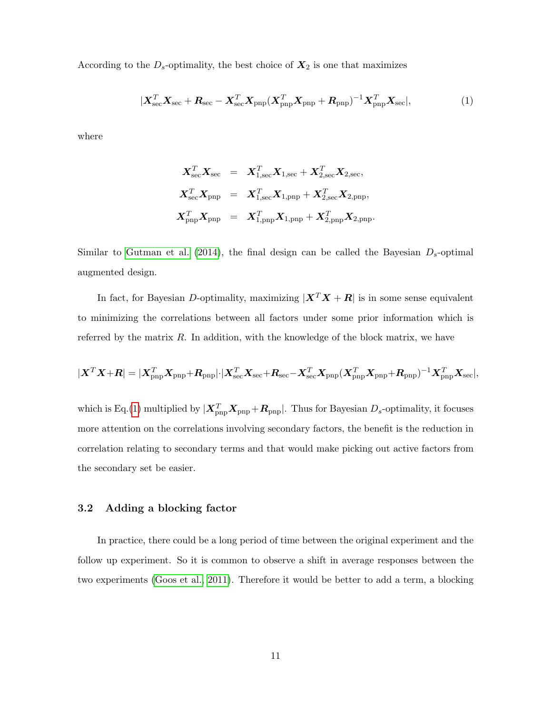According to the  $D_s$ -optimality, the best choice of  $X_2$  is one that maximizes

<span id="page-10-0"></span>
$$
|\boldsymbol{X}_{\text{sec}}^T \boldsymbol{X}_{\text{sec}} + \boldsymbol{R}_{\text{sec}} - \boldsymbol{X}_{\text{sec}}^T \boldsymbol{X}_{\text{pnp}} (\boldsymbol{X}_{\text{pnp}}^T \boldsymbol{X}_{\text{pnp}} + \boldsymbol{R}_{\text{pnp}})^{-1} \boldsymbol{X}_{\text{pnp}}^T \boldsymbol{X}_{\text{sec}}|,
$$
\n(1)

where

$$
\begin{array}{rcl} \boldsymbol{X}_{\text{sec}}^T\boldsymbol{X}_{\text{sec}} & = & \boldsymbol{X}_{1,\text{sec}}^T\boldsymbol{X}_{1,\text{sec}} + \boldsymbol{X}_{2,\text{sec}}^T\boldsymbol{X}_{2,\text{sec}}, \\ \boldsymbol{X}_{\text{sec}}^T\boldsymbol{X}_{\text{pnp}} & = & \boldsymbol{X}_{1,\text{sec}}^T\boldsymbol{X}_{1,\text{pnp}} + \boldsymbol{X}_{2,\text{sec}}^T\boldsymbol{X}_{2,\text{pnp}}, \\ \boldsymbol{X}_{\text{pnp}}^T\boldsymbol{X}_{\text{pnp}} & = & \boldsymbol{X}_{1,\text{pnp}}^T\boldsymbol{X}_{1,\text{pnp}} + \boldsymbol{X}_{2,\text{pnp}}^T\boldsymbol{X}_{2,\text{pnp}}. \end{array}
$$

Similar to [Gutman et al.](#page-24-6) [\(2014\)](#page-24-6), the final design can be called the Bayesian  $D_s$ -optimal augmented design.

In fact, for Bayesian D-optimality, maximizing  $|\mathbf{X}^T\mathbf{X} + \mathbf{R}|$  is in some sense equivalent to minimizing the correlations between all factors under some prior information which is referred by the matrix R. In addition, with the knowledge of the block matrix, we have

$$
|\boldsymbol{X}^T\boldsymbol{X}+\boldsymbol{R}|=|\boldsymbol{X}^T_{\rm{pnp}}\boldsymbol{X}_{\rm{pnp}}+\boldsymbol{R}_{\rm{pnp}}|\cdot|\boldsymbol{X}^T_{\rm{sec}}\boldsymbol{X}_{\rm{sec}}+\boldsymbol{R}_{\rm{sec}}-\boldsymbol{X}^T_{\rm{sec}}\boldsymbol{X}_{\rm{pnp}}(\boldsymbol{X}^T_{\rm{pnp}}\boldsymbol{X}_{\rm{pnp}}+\boldsymbol{R}_{\rm{pnp}})^{-1}\boldsymbol{X}^T_{\rm{pnp}}\boldsymbol{X}_{\rm{sec}}|,
$$

which is Eq.[\(1\)](#page-10-0) multiplied by  $|\mathbf{X}_{\rm{pnp}}^T \mathbf{X}_{\rm{pnp}} + \mathbf{R}_{\rm{pnp}}|$ . Thus for Bayesian  $D_s$ -optimality, it focuses more attention on the correlations involving secondary factors, the benefit is the reduction in correlation relating to secondary terms and that would make picking out active factors from the secondary set be easier.

#### 3.2 Adding a blocking factor

In practice, there could be a long period of time between the original experiment and the follow up experiment. So it is common to observe a shift in average responses between the two experiments [\(Goos et al., 2011\)](#page-24-13). Therefore it would be better to add a term, a blocking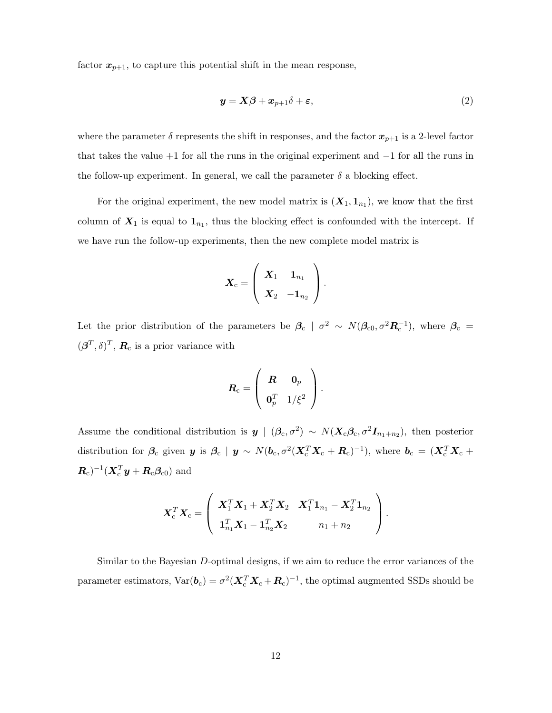factor  $x_{p+1}$ , to capture this potential shift in the mean response,

<span id="page-11-0"></span>
$$
\mathbf{y} = \mathbf{X}\boldsymbol{\beta} + \mathbf{x}_{p+1}\boldsymbol{\delta} + \boldsymbol{\varepsilon},\tag{2}
$$

where the parameter  $\delta$  represents the shift in responses, and the factor  $x_{p+1}$  is a 2-level factor that takes the value  $+1$  for all the runs in the original experiment and  $-1$  for all the runs in the follow-up experiment. In general, we call the parameter  $\delta$  a blocking effect.

For the original experiment, the new model matrix is  $(X_1, 1_{n_1})$ , we know that the first column of  $X_1$  is equal to  $\mathbb{1}_{n_1}$ , thus the blocking effect is confounded with the intercept. If we have run the follow-up experiments, then the new complete model matrix is

$$
\bm{X}_{\text{c}} = \left( \begin{array}{cc} \bm{X}_1 & \bm{1}_{n_1} \\ \bm{X}_2 & -\bm{1}_{n_2} \end{array} \right).
$$

Let the prior distribution of the parameters be  $\beta_c$  |  $\sigma^2 \sim N(\beta_{c0}, \sigma^2 R_c^{-1})$ , where  $\beta_c$  =  $(\boldsymbol{\beta}^T, \delta)^T$ ,  $\boldsymbol{R}_c$  is a prior variance with

$$
\boldsymbol{R}_{\mathrm{c}} = \left(\begin{array}{cc} \boldsymbol{R} & \boldsymbol{0}_{p} \\ \boldsymbol{0}_{p}^{T} & 1/\xi^{2} \end{array}\right).
$$

Assume the conditional distribution is  $y \mid (\beta_c, \sigma^2) \sim N(X_c \beta_c, \sigma^2 I_{n_1+n_2})$ , then posterior distribution for  $\beta_c$  given  $y$  is  $\beta_c$  |  $y \sim N(b_c, \sigma^2(\bm{X}_c^T\bm{X}_c+\bm{R}_c)^{-1})$ , where  $\bm{b}_c = (\bm{X}_c^T\bm{X}_c +$  $(\boldsymbol{R}_{\rm c})^{-1}(\boldsymbol{X}_{\rm c}^T\boldsymbol{y}+\boldsymbol{R}_{\rm c}\boldsymbol{\beta}_{\rm c0})$  and

$$
\boldsymbol{X}_\mathrm{c}^T\boldsymbol{X}_\mathrm{c} = \left(\begin{array}{cc} \boldsymbol{X}_1^T\boldsymbol{X}_1 + \boldsymbol{X}_2^T\boldsymbol{X}_2 & \boldsymbol{X}_1^T\boldsymbol{1}_{n_1} - \boldsymbol{X}_2^T\boldsymbol{1}_{n_2} \\ \boldsymbol{1}_{n_1}^T\boldsymbol{X}_1 - \boldsymbol{1}_{n_2}^T\boldsymbol{X}_2 & n_1+n_2 \end{array}\right).
$$

Similar to the Bayesian D-optimal designs, if we aim to reduce the error variances of the parameter estimators,  $Var(\bm{b}_c) = \sigma^2(\bm{X}_c^T\bm{X}_c + \bm{R}_c)^{-1}$ , the optimal augmented SSDs should be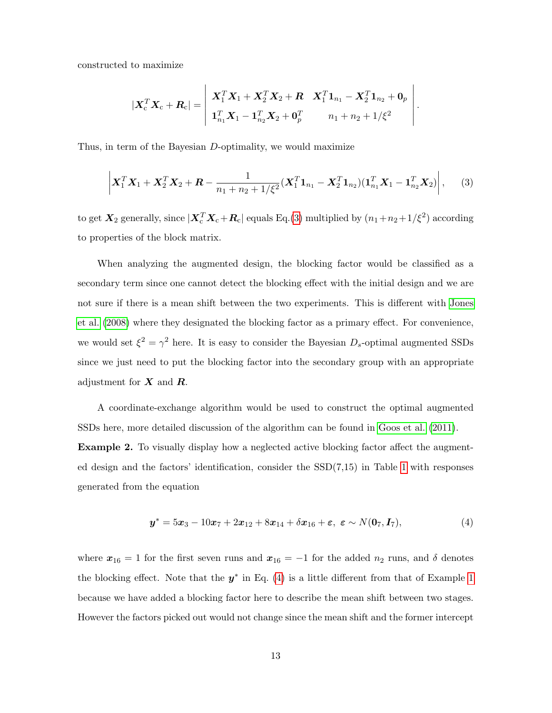constructed to maximize

$$
|\bm{X}_\mathrm{c}^T\bm{X}_\mathrm{c}+\bm{R}_\mathrm{c}|=\left|\begin{array}{cc} \bm{X}_1^T\bm{X}_1+\bm{X}_2^T\bm{X}_2+\bm{R} & \bm{X}_1^T\bm{1}_{n_1}-\bm{X}_2^T\bm{1}_{n_2}+\bm{0}_p \\ \bm{1}_{n_1}^T\bm{X}_1-\bm{1}_{n_2}^T\bm{X}_2+\bm{0}_p^T & n_1+n_2+1/\xi^2 \end{array}\right|.
$$

Thus, in term of the Bayesian D-optimality, we would maximize

<span id="page-12-0"></span>
$$
\left| \boldsymbol{X}_1^T \boldsymbol{X}_1 + \boldsymbol{X}_2^T \boldsymbol{X}_2 + \boldsymbol{R} - \frac{1}{n_1 + n_2 + 1/\xi^2} (\boldsymbol{X}_1^T \boldsymbol{1}_{n_1} - \boldsymbol{X}_2^T \boldsymbol{1}_{n_2}) (\boldsymbol{1}_{n_1}^T \boldsymbol{X}_1 - \boldsymbol{1}_{n_2}^T \boldsymbol{X}_2) \right|, \qquad (3)
$$

to get  $X_2$  generally, since  $|X_c^T X_c + R_c|$  equals Eq.[\(3\)](#page-12-0) multiplied by  $(n_1+n_2+1/\xi^2)$  according to properties of the block matrix.

When analyzing the augmented design, the blocking factor would be classified as a secondary term since one cannot detect the blocking effect with the initial design and we are not sure if there is a mean shift between the two experiments. This is different with [Jones](#page-24-14) [et al.](#page-24-14) [\(2008\)](#page-24-14) where they designated the blocking factor as a primary effect. For convenience, we would set  $\xi^2 = \gamma^2$  here. It is easy to consider the Bayesian  $D_s$ -optimal augmented SSDs since we just need to put the blocking factor into the secondary group with an appropriate adjustment for  $X$  and  $R$ .

<span id="page-12-2"></span>A coordinate-exchange algorithm would be used to construct the optimal augmented SSDs here, more detailed discussion of the algorithm can be found in [Goos et al.](#page-24-13) [\(2011\)](#page-24-13). Example 2. To visually display how a neglected active blocking factor affect the augmented design and the factors' identification, consider the  $SSD(7,15)$  in Table [1](#page-7-0) with responses generated from the equation

<span id="page-12-1"></span>
$$
y^* = 5x_3 - 10x_7 + 2x_{12} + 8x_{14} + \delta x_{16} + \varepsilon, \ \varepsilon \sim N(0_7, I_7), \tag{4}
$$

where  $x_{16} = 1$  for the first seven runs and  $x_{16} = -1$  for the added  $n_2$  runs, and  $\delta$  denotes the blocking effect. Note that the  $y^*$  in Eq. [\(4\)](#page-12-1) is a little different from that of Example [1](#page-7-1) because we have added a blocking factor here to describe the mean shift between two stages. However the factors picked out would not change since the mean shift and the former intercept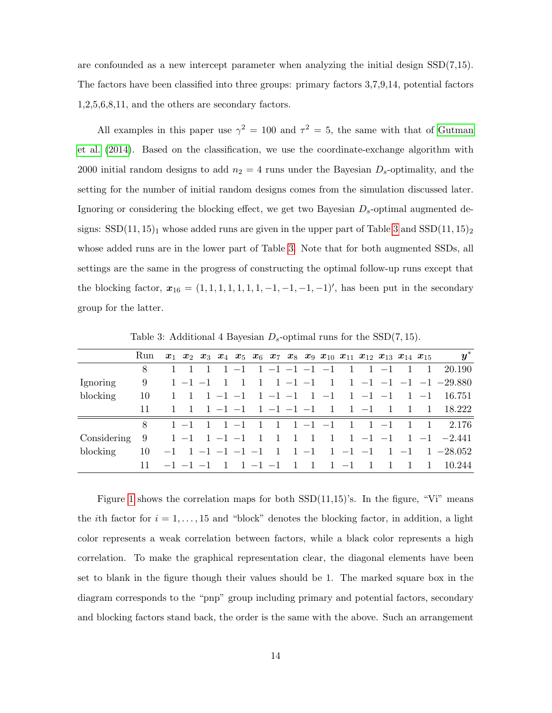are confounded as a new intercept parameter when analyzing the initial design SSD(7,15). The factors have been classified into three groups: primary factors 3,7,9,14, potential factors 1,2,5,6,8,11, and the others are secondary factors.

All examples in this paper use  $\gamma^2 = 100$  and  $\tau^2 = 5$ , the same with that of [Gutman](#page-24-6) [et al.](#page-24-6) [\(2014\)](#page-24-6). Based on the classification, we use the coordinate-exchange algorithm with 2000 initial random designs to add  $n_2 = 4$  runs under the Bayesian  $D_s$ -optimality, and the setting for the number of initial random designs comes from the simulation discussed later. Ignoring or considering the blocking effect, we get two Bayesian  $D_s$ -optimal augmented designs:  $SSD(11, 15)<sub>1</sub>$  whose added runs are given in the upper part of Table [3](#page-13-0) and  $SSD(11, 15)<sub>2</sub>$ whose added runs are in the lower part of Table [3.](#page-13-0) Note that for both augmented SSDs, all settings are the same in the progress of constructing the optimal follow-up runs except that the blocking factor,  $x_{16} = (1, 1, 1, 1, 1, 1, 1, -1, -1, -1, -1)'$ , has been put in the secondary group for the latter.

|                                                           | Run |                                               |  |  |  |  |  |  |             | $\boldsymbol{y}^*$<br>$x_1$ $x_2$ $x_3$ $x_4$ $x_5$ $x_6$ $x_7$ $x_8$ $x_9$ $x_{10}$ $x_{11}$ $x_{12}$ $x_{13}$ $x_{14}$ $x_{15}$                           |
|-----------------------------------------------------------|-----|-----------------------------------------------|--|--|--|--|--|--|-------------|-------------------------------------------------------------------------------------------------------------------------------------------------------------|
|                                                           | 8   |                                               |  |  |  |  |  |  |             | 1 1 1 1 -1 1 -1 -1 -1 -1 -1 1 -1 -1 1 20.190                                                                                                                |
| Ignoring                                                  | 9   |                                               |  |  |  |  |  |  |             | $1 -1 -1 1 1 1 1 -1 -1 1 1 -1 -1 -1 -1 -1 -29.880$                                                                                                          |
| blocking                                                  | 10  |                                               |  |  |  |  |  |  |             |                                                                                                                                                             |
|                                                           | 11  |                                               |  |  |  |  |  |  |             | 1 1 1 -1 -1 -1 -1 -1 -1 -1 1 -1 -1 1 1 -1 3.222                                                                                                             |
|                                                           | 8   |                                               |  |  |  |  |  |  |             | $1 -1$ 1 1 -1 1 1 1 -1 -1 1 1 -1 -1 1 2.176                                                                                                                 |
| Considering 9 1 -1 1 -1 -1 1 1 1 1 1 1 -1 -1 -1 -1 -2.441 |     |                                               |  |  |  |  |  |  |             |                                                                                                                                                             |
| blocking                                                  |     |                                               |  |  |  |  |  |  |             | $10 \quad -1 \quad 1 \quad -1 \quad -1 \quad -1 \quad -1 \quad 1 \quad 1 \quad -1 \quad 1 \quad -1 \quad 1 \quad -1 \quad 1 \quad -1 \quad 1 \quad -28.052$ |
|                                                           |     | $-1$ $-1$ $-1$ 1 $1$ $-1$ $-1$ 1 $1$ $-1$ 1 1 |  |  |  |  |  |  | $1 \quad 1$ | 10.244                                                                                                                                                      |

<span id="page-13-0"></span>Table 3: Additional 4 Bayesian  $D_s$ -optimal runs for the SSD(7, 15).

Figure [1](#page-14-0) shows the correlation maps for both  $SSD(11,15)$ 's. In the figure, "Vi" means the *i*th factor for  $i = 1, \ldots, 15$  and "block" denotes the blocking factor, in addition, a light color represents a weak correlation between factors, while a black color represents a high correlation. To make the graphical representation clear, the diagonal elements have been set to blank in the figure though their values should be 1. The marked square box in the diagram corresponds to the "pnp" group including primary and potential factors, secondary and blocking factors stand back, the order is the same with the above. Such an arrangement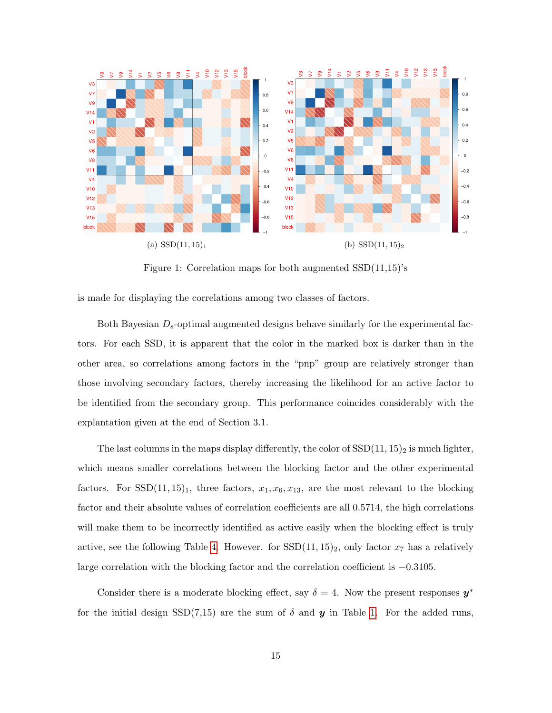

<span id="page-14-0"></span>Figure 1: Correlation maps for both augmented SSD(11,15)'s

is made for displaying the correlations among two classes of factors.

Both Bayesian  $D_s$ -optimal augmented designs behave similarly for the experimental factors. For each SSD, it is apparent that the color in the marked box is darker than in the other area, so correlations among factors in the "pnp" group are relatively stronger than those involving secondary factors, thereby increasing the likelihood for an active factor to be identified from the secondary group. This performance coincides considerably with the explantation given at the end of Section 3.1.

The last columns in the maps display differently, the color of  $SSD(11, 15)_2$  is much lighter, which means smaller correlations between the blocking factor and the other experimental factors. For SSD(11, 15)<sub>1</sub>, three factors,  $x_1, x_6, x_{13}$ , are the most relevant to the blocking factor and their absolute values of correlation coefficients are all 0.5714, the high correlations will make them to be incorrectly identified as active easily when the blocking effect is truly active, see the following Table [4.](#page-15-0) However. for  $SSD(11, 15)_2$ , only factor  $x_7$  has a relatively large correlation with the blocking factor and the correlation coefficient is −0.3105.

Consider there is a moderate blocking effect, say  $\delta = 4$ . Now the present responses  $y^*$ for the initial design SSD(7,15) are the sum of  $\delta$  and  $y$  in Table [1.](#page-7-0) For the added runs,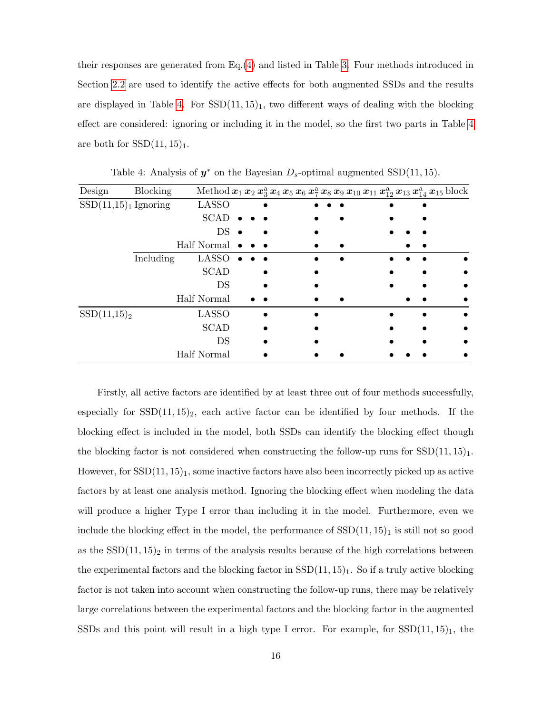their responses are generated from Eq.[\(4\)](#page-12-1) and listed in Table [3.](#page-13-0) Four methods introduced in Section [2.2](#page-4-0) are used to identify the active effects for both augmented SSDs and the results are displayed in Table [4.](#page-15-0) For  $SSD(11, 15)$ <sub>1</sub>, two different ways of dealing with the blocking effect are considered: ignoring or including it in the model, so the first two parts in Table [4](#page-15-0) are both for  $SSD(11, 15)$ <sub>1</sub>.

| Design                  | <b>Blocking</b> |                       |  |  | Method $x_1 x_2 x_3^a x_4 x_5 x_6 x_7^a x_8 x_9 x_{10} x_{11} x_{12}^a x_{13} x_{14}^a x_{15}$ block |  |  |
|-------------------------|-----------------|-----------------------|--|--|------------------------------------------------------------------------------------------------------|--|--|
| $SSD(11,15)1$ Ignoring  |                 | <b>LASSO</b>          |  |  |                                                                                                      |  |  |
|                         |                 | <b>SCAD</b>           |  |  |                                                                                                      |  |  |
|                         |                 | DS                    |  |  |                                                                                                      |  |  |
|                         |                 | Half Normal $\bullet$ |  |  |                                                                                                      |  |  |
|                         | Including       | <b>LASSO</b>          |  |  |                                                                                                      |  |  |
|                         |                 | <b>SCAD</b>           |  |  |                                                                                                      |  |  |
|                         |                 | DS                    |  |  |                                                                                                      |  |  |
|                         |                 | Half Normal           |  |  |                                                                                                      |  |  |
| SSD(11,15) <sub>2</sub> |                 | <b>LASSO</b>          |  |  |                                                                                                      |  |  |
|                         |                 | <b>SCAD</b>           |  |  |                                                                                                      |  |  |
|                         |                 | DS                    |  |  |                                                                                                      |  |  |
|                         |                 | Half Normal           |  |  |                                                                                                      |  |  |

<span id="page-15-0"></span>Table 4: Analysis of  $y^*$  on the Bayesian  $D_s$ -optimal augmented SSD(11, 15).

Firstly, all active factors are identified by at least three out of four methods successfully, especially for  $SSD(11, 15)_2$ , each active factor can be identified by four methods. If the blocking effect is included in the model, both SSDs can identify the blocking effect though the blocking factor is not considered when constructing the follow-up runs for  $SSD(11, 15)$ <sub>1</sub>. However, for  $\text{SSD}(11, 15)_1$ , some inactive factors have also been incorrectly picked up as active factors by at least one analysis method. Ignoring the blocking effect when modeling the data will produce a higher Type I error than including it in the model. Furthermore, even we include the blocking effect in the model, the performance of  $SSD(11, 15)<sub>1</sub>$  is still not so good as the  $SSD(11, 15)<sub>2</sub>$  in terms of the analysis results because of the high correlations between the experimental factors and the blocking factor in  $SSD(11, 15)$ . So if a truly active blocking factor is not taken into account when constructing the follow-up runs, there may be relatively large correlations between the experimental factors and the blocking factor in the augmented SSDs and this point will result in a high type I error. For example, for  $SSD(11, 15)$ , the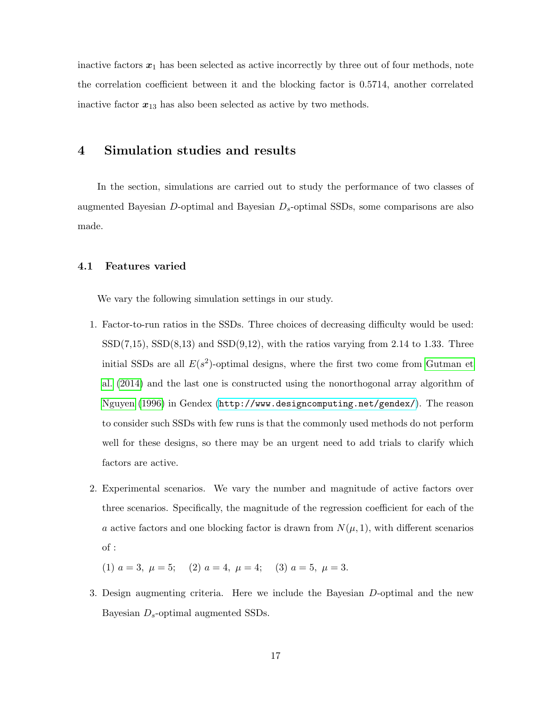inactive factors  $x_1$  has been selected as active incorrectly by three out of four methods, note the correlation coefficient between it and the blocking factor is 0.5714, another correlated inactive factor  $x_{13}$  has also been selected as active by two methods.

### 4 Simulation studies and results

In the section, simulations are carried out to study the performance of two classes of augmented Bayesian D-optimal and Bayesian  $D_s$ -optimal SSDs, some comparisons are also made.

#### 4.1 Features varied

We vary the following simulation settings in our study.

- 1. Factor-to-run ratios in the SSDs. Three choices of decreasing difficulty would be used:  $SSD(7,15)$ ,  $SSD(8,13)$  and  $SSD(9,12)$ , with the ratios varying from 2.14 to 1.33. Three initial SSDs are all  $E(s^2)$ -optimal designs, where the first two come from [Gutman et](#page-24-6) [al.](#page-24-6) [\(2014\)](#page-24-6) and the last one is constructed using the nonorthogonal array algorithm of [Nguyen](#page-25-11) [\(1996\)](#page-25-11) in Gendex (<http://www.designcomputing.net/gendex/>). The reason to consider such SSDs with few runs is that the commonly used methods do not perform well for these designs, so there may be an urgent need to add trials to clarify which factors are active.
- 2. Experimental scenarios. We vary the number and magnitude of active factors over three scenarios. Specifically, the magnitude of the regression coefficient for each of the a active factors and one blocking factor is drawn from  $N(\mu, 1)$ , with different scenarios of :

(1)  $a = 3, \mu = 5;$  (2)  $a = 4, \mu = 4;$  (3)  $a = 5, \mu = 3.$ 

3. Design augmenting criteria. Here we include the Bayesian D-optimal and the new Bayesian  $D_s$ -optimal augmented SSDs.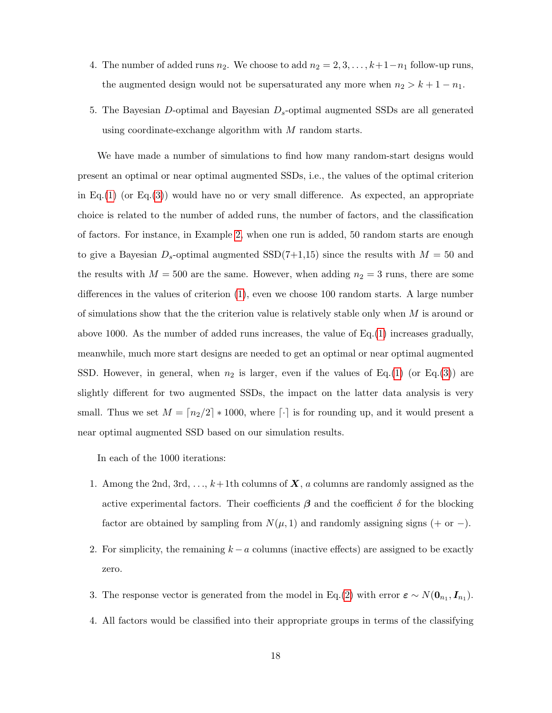- 4. The number of added runs  $n_2$ . We choose to add  $n_2 = 2, 3, \ldots, k+1-n_1$  follow-up runs, the augmented design would not be supersaturated any more when  $n_2 > k + 1 - n_1$ .
- 5. The Bayesian  $D$ -optimal and Bayesian  $D_s$ -optimal augmented SSDs are all generated using coordinate-exchange algorithm with M random starts.

We have made a number of simulations to find how many random-start designs would present an optimal or near optimal augmented SSDs, i.e., the values of the optimal criterion in Eq.[\(1\)](#page-10-0) (or Eq.[\(3\)](#page-12-0)) would have no or very small difference. As expected, an appropriate choice is related to the number of added runs, the number of factors, and the classification of factors. For instance, in Example [2,](#page-12-2) when one run is added, 50 random starts are enough to give a Bayesian  $D_s$ -optimal augmented  $SSD(7+1,15)$  since the results with  $M = 50$  and the results with  $M = 500$  are the same. However, when adding  $n_2 = 3$  runs, there are some differences in the values of criterion [\(1\)](#page-10-0), even we choose 100 random starts. A large number of simulations show that the the criterion value is relatively stable only when  $M$  is around or above 1000. As the number of added runs increases, the value of  $Eq.(1)$  $Eq.(1)$  increases gradually, meanwhile, much more start designs are needed to get an optimal or near optimal augmented SSD. However, in general, when  $n_2$  is larger, even if the values of Eq.[\(1\)](#page-10-0) (or Eq.[\(3\)](#page-12-0)) are slightly different for two augmented SSDs, the impact on the latter data analysis is very small. Thus we set  $M = \lfloor n_2/2 \rfloor * 1000$ , where  $\lfloor \cdot \rfloor$  is for rounding up, and it would present a near optimal augmented SSD based on our simulation results.

In each of the 1000 iterations:

- 1. Among the 2nd,  $3rd, \ldots, k+1$ th columns of  $X$ , a columns are randomly assigned as the active experimental factors. Their coefficients  $\beta$  and the coefficient  $\delta$  for the blocking factor are obtained by sampling from  $N(\mu, 1)$  and randomly assigning signs (+ or −).
- 2. For simplicity, the remaining  $k a$  columns (inactive effects) are assigned to be exactly zero.
- 3. The response vector is generated from the model in Eq.[\(2\)](#page-11-0) with error  $\varepsilon \sim N(\mathbf{0}_{n_1}, \mathbf{I}_{n_1}).$
- 4. All factors would be classified into their appropriate groups in terms of the classifying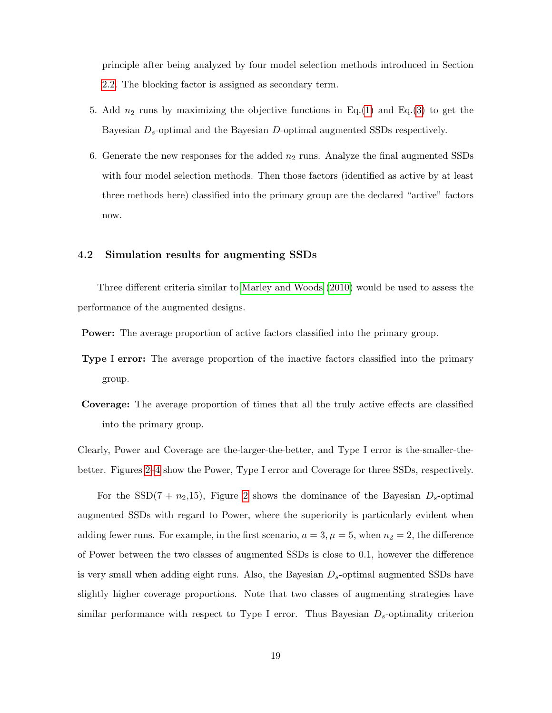principle after being analyzed by four model selection methods introduced in Section [2.2.](#page-4-0) The blocking factor is assigned as secondary term.

- 5. Add  $n_2$  runs by maximizing the objective functions in Eq.[\(1\)](#page-10-0) and Eq.[\(3\)](#page-12-0) to get the Bayesian  $D_s$ -optimal and the Bayesian D-optimal augmented SSDs respectively.
- 6. Generate the new responses for the added  $n_2$  runs. Analyze the final augmented SSDs with four model selection methods. Then those factors (identified as active by at least three methods here) classified into the primary group are the declared "active" factors now.

#### 4.2 Simulation results for augmenting SSDs

Three different criteria similar to [Marley and Woods](#page-25-10) [\(2010\)](#page-25-10) would be used to assess the performance of the augmented designs.

Power: The average proportion of active factors classified into the primary group.

- Type I error: The average proportion of the inactive factors classified into the primary group.
- Coverage: The average proportion of times that all the truly active effects are classified into the primary group.

Clearly, Power and Coverage are the-larger-the-better, and Type I error is the-smaller-thebetter. Figures [2–](#page-19-0)[4](#page-20-0) show the Power, Type I error and Coverage for three SSDs, respectively.

For the SSD(7 +  $n_2,15$ ), Figure [2](#page-19-0) shows the dominance of the Bayesian  $D_s$ -optimal augmented SSDs with regard to Power, where the superiority is particularly evident when adding fewer runs. For example, in the first scenario,  $a = 3, \mu = 5$ , when  $n_2 = 2$ , the difference of Power between the two classes of augmented SSDs is close to 0.1, however the difference is very small when adding eight runs. Also, the Bayesian  $D_s$ -optimal augmented SSDs have slightly higher coverage proportions. Note that two classes of augmenting strategies have similar performance with respect to Type I error. Thus Bayesian  $D_s$ -optimality criterion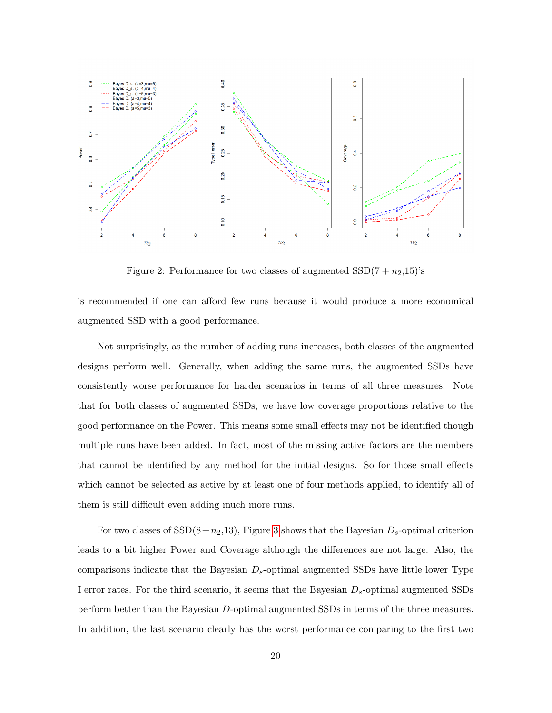

<span id="page-19-0"></span>Figure 2: Performance for two classes of augmented  $SSD(7 + n<sub>2</sub>,15)$ 's

is recommended if one can afford few runs because it would produce a more economical augmented SSD with a good performance.

Not surprisingly, as the number of adding runs increases, both classes of the augmented designs perform well. Generally, when adding the same runs, the augmented SSDs have consistently worse performance for harder scenarios in terms of all three measures. Note that for both classes of augmented SSDs, we have low coverage proportions relative to the good performance on the Power. This means some small effects may not be identified though multiple runs have been added. In fact, most of the missing active factors are the members that cannot be identified by any method for the initial designs. So for those small effects which cannot be selected as active by at least one of four methods applied, to identify all of them is still difficult even adding much more runs.

For two classes of  $SSD(8+n_2,13)$ , Figure [3](#page-20-1) shows that the Bayesian  $D_s$ -optimal criterion leads to a bit higher Power and Coverage although the differences are not large. Also, the comparisons indicate that the Bayesian  $D_s$ -optimal augmented SSDs have little lower Type I error rates. For the third scenario, it seems that the Bayesian  $D_s$ -optimal augmented SSDs perform better than the Bayesian D-optimal augmented SSDs in terms of the three measures. In addition, the last scenario clearly has the worst performance comparing to the first two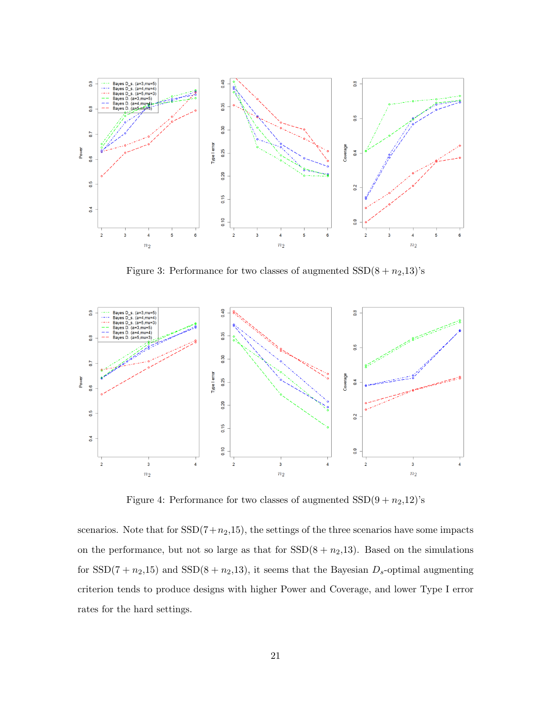

<span id="page-20-1"></span>Figure 3: Performance for two classes of augmented  $SSD(8 + n<sub>2</sub>, 13)'s$ 



<span id="page-20-0"></span>Figure 4: Performance for two classes of augmented  $SSD(9 + n<sub>2</sub>,12)'s$ 

scenarios. Note that for  $SSD(7+n_2,15)$ , the settings of the three scenarios have some impacts on the performance, but not so large as that for  $SSD(8 + n<sub>2</sub>, 13)$ . Based on the simulations for  $SSD(7 + n_2, 15)$  and  $SSD(8 + n_2, 13)$ , it seems that the Bayesian  $D_s$ -optimal augmenting criterion tends to produce designs with higher Power and Coverage, and lower Type I error rates for the hard settings.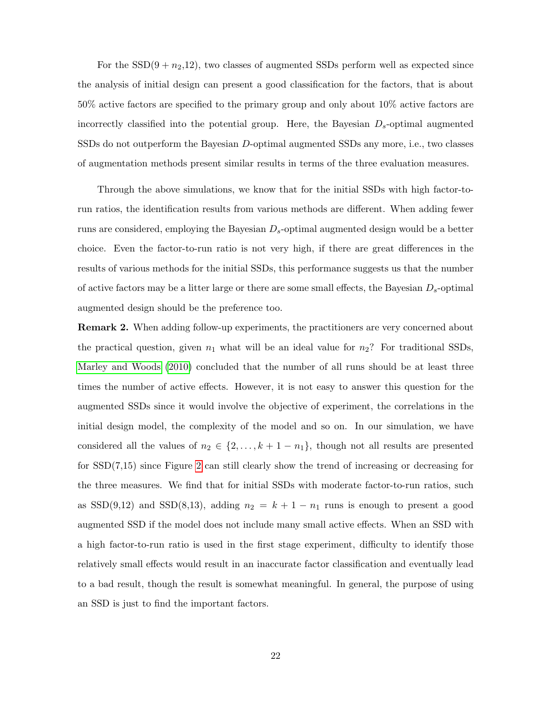For the  $SSD(9 + n<sub>2</sub>, 12)$ , two classes of augmented SSDs perform well as expected since the analysis of initial design can present a good classification for the factors, that is about 50% active factors are specified to the primary group and only about 10% active factors are incorrectly classified into the potential group. Here, the Bayesian  $D_s$ -optimal augmented SSDs do not outperform the Bayesian D-optimal augmented SSDs any more, i.e., two classes of augmentation methods present similar results in terms of the three evaluation measures.

Through the above simulations, we know that for the initial SSDs with high factor-torun ratios, the identification results from various methods are different. When adding fewer runs are considered, employing the Bayesian  $D_s$ -optimal augmented design would be a better choice. Even the factor-to-run ratio is not very high, if there are great differences in the results of various methods for the initial SSDs, this performance suggests us that the number of active factors may be a litter large or there are some small effects, the Bayesian  $D_s$ -optimal augmented design should be the preference too.

Remark 2. When adding follow-up experiments, the practitioners are very concerned about the practical question, given  $n_1$  what will be an ideal value for  $n_2$ ? For traditional SSDs, [Marley and Woods](#page-25-10) [\(2010\)](#page-25-10) concluded that the number of all runs should be at least three times the number of active effects. However, it is not easy to answer this question for the augmented SSDs since it would involve the objective of experiment, the correlations in the initial design model, the complexity of the model and so on. In our simulation, we have considered all the values of  $n_2 \in \{2, \ldots, k+1-n_1\}$ , though not all results are presented for SSD(7,15) since Figure [2](#page-19-0) can still clearly show the trend of increasing or decreasing for the three measures. We find that for initial SSDs with moderate factor-to-run ratios, such as  $SSD(9,12)$  and  $SSD(8,13)$ , adding  $n_2 = k + 1 - n_1$  runs is enough to present a good augmented SSD if the model does not include many small active effects. When an SSD with a high factor-to-run ratio is used in the first stage experiment, difficulty to identify those relatively small effects would result in an inaccurate factor classification and eventually lead to a bad result, though the result is somewhat meaningful. In general, the purpose of using an SSD is just to find the important factors.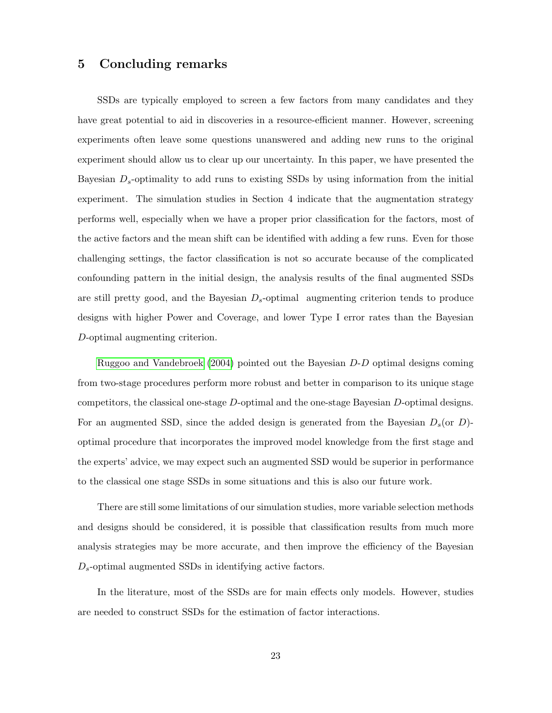### 5 Concluding remarks

SSDs are typically employed to screen a few factors from many candidates and they have great potential to aid in discoveries in a resource-efficient manner. However, screening experiments often leave some questions unanswered and adding new runs to the original experiment should allow us to clear up our uncertainty. In this paper, we have presented the Bayesian  $D_s$ -optimality to add runs to existing SSDs by using information from the initial experiment. The simulation studies in Section 4 indicate that the augmentation strategy performs well, especially when we have a proper prior classification for the factors, most of the active factors and the mean shift can be identified with adding a few runs. Even for those challenging settings, the factor classification is not so accurate because of the complicated confounding pattern in the initial design, the analysis results of the final augmented SSDs are still pretty good, and the Bayesian  $D_s$ -optimal augmenting criterion tends to produce designs with higher Power and Coverage, and lower Type I error rates than the Bayesian D-optimal augmenting criterion.

[Ruggoo and Vandebroek](#page-25-12) [\(2004\)](#page-25-12) pointed out the Bayesian D-D optimal designs coming from two-stage procedures perform more robust and better in comparison to its unique stage competitors, the classical one-stage D-optimal and the one-stage Bayesian D-optimal designs. For an augmented SSD, since the added design is generated from the Bayesian  $D_s$  (or D)optimal procedure that incorporates the improved model knowledge from the first stage and the experts' advice, we may expect such an augmented SSD would be superior in performance to the classical one stage SSDs in some situations and this is also our future work.

There are still some limitations of our simulation studies, more variable selection methods and designs should be considered, it is possible that classification results from much more analysis strategies may be more accurate, and then improve the efficiency of the Bayesian  $D_s$ -optimal augmented SSDs in identifying active factors.

In the literature, most of the SSDs are for main effects only models. However, studies are needed to construct SSDs for the estimation of factor interactions.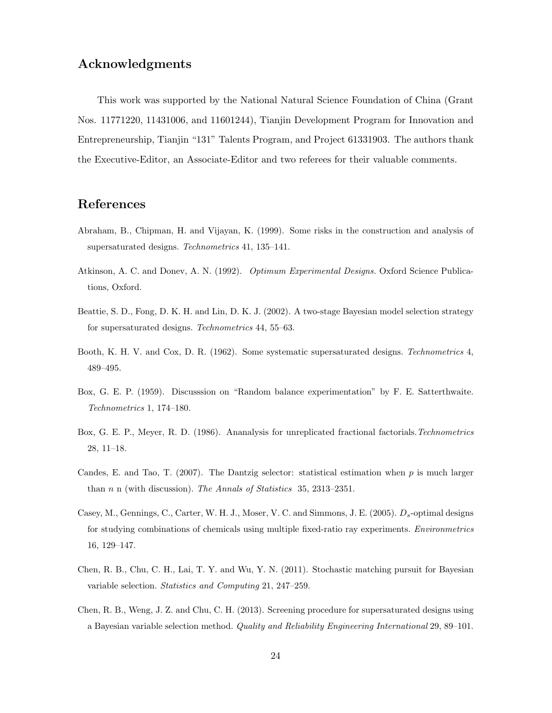# Acknowledgments

This work was supported by the National Natural Science Foundation of China (Grant Nos. 11771220, 11431006, and 11601244), Tianjin Development Program for Innovation and Entrepreneurship, Tianjin "131" Talents Program, and Project 61331903. The authors thank the Executive-Editor, an Associate-Editor and two referees for their valuable comments.

# References

- <span id="page-23-1"></span>Abraham, B., Chipman, H. and Vijayan, K. (1999). Some risks in the construction and analysis of supersaturated designs. Technometrics 41, 135–141.
- <span id="page-23-6"></span>Atkinson, A. C. and Donev, A. N. (1992). Optimum Experimental Designs. Oxford Science Publications, Oxford.
- <span id="page-23-2"></span>Beattie, S. D., Fong, D. K. H. and Lin, D. K. J. (2002). A two-stage Bayesian model selection strategy for supersaturated designs. Technometrics 44, 55–63.
- <span id="page-23-5"></span>Booth, K. H. V. and Cox, D. R. (1962). Some systematic supersaturated designs. Technometrics 4, 489–495.
- <span id="page-23-0"></span>Box, G. E. P. (1959). Discusssion on "Random balance experimentation" by F. E. Satterthwaite. Technometrics 1, 174–180.
- <span id="page-23-9"></span>Box, G. E. P., Meyer, R. D. (1986). Ananalysis for unreplicated fractional factorials. Technometrics 28, 11–18.
- <span id="page-23-8"></span>Candes, E. and Tao, T. (2007). The Dantzig selector: statistical estimation when  $p$  is much larger than n n (with discussion). The Annals of Statistics 35, 2313–2351.
- <span id="page-23-7"></span>Casey, M., Gennings, C., Carter, W. H. J., Moser, V. C. and Simmons, J. E. (2005).  $D_s$ -optimal designs for studying combinations of chemicals using multiple fixed-ratio ray experiments. Environmetrics 16, 129–147.
- <span id="page-23-3"></span>Chen, R. B., Chu, C. H., Lai, T. Y. and Wu, Y. N. (2011). Stochastic matching pursuit for Bayesian variable selection. Statistics and Computing 21, 247–259.
- <span id="page-23-4"></span>Chen, R. B., Weng, J. Z. and Chu, C. H. (2013). Screening procedure for supersaturated designs using a Bayesian variable selection method. Quality and Reliability Engineering International 29, 89–101.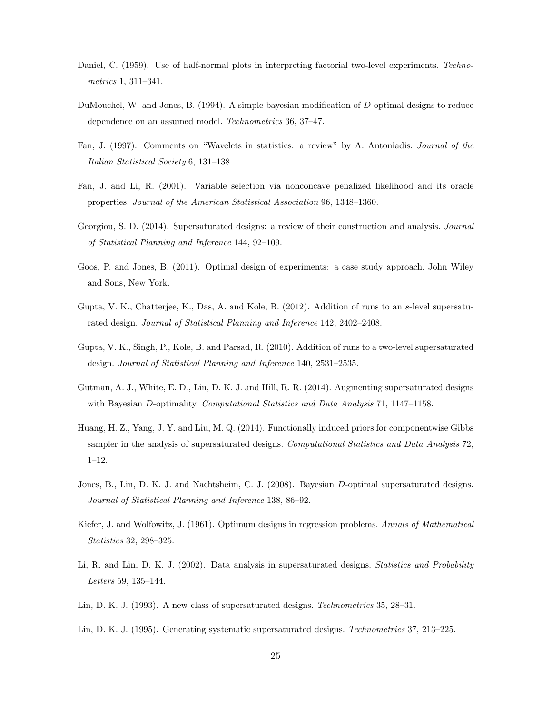- <span id="page-24-9"></span>Daniel, C. (1959). Use of half-normal plots in interpreting factorial two-level experiments. Technometrics 1, 311–341.
- <span id="page-24-8"></span>DuMouchel, W. and Jones, B. (1994). A simple bayesian modification of D-optimal designs to reduce dependence on an assumed model. Technometrics 36, 37–47.
- <span id="page-24-11"></span>Fan, J. (1997). Comments on "Wavelets in statistics: a review" by A. Antoniadis. Journal of the Italian Statistical Society 6, 131–138.
- <span id="page-24-10"></span>Fan, J. and Li, R. (2001). Variable selection via nonconcave penalized likelihood and its oracle properties. Journal of the American Statistical Association 96, 1348–1360.
- <span id="page-24-1"></span>Georgiou, S. D. (2014). Supersaturated designs: a review of their construction and analysis. Journal of Statistical Planning and Inference 144, 92–109.
- <span id="page-24-13"></span>Goos, P. and Jones, B. (2011). Optimal design of experiments: a case study approach. John Wiley and Sons, New York.
- <span id="page-24-5"></span>Gupta, V. K., Chatterjee, K., Das, A. and Kole, B. (2012). Addition of runs to an s-level supersaturated design. Journal of Statistical Planning and Inference 142, 2402–2408.
- <span id="page-24-4"></span>Gupta, V. K., Singh, P., Kole, B. and Parsad, R. (2010). Addition of runs to a two-level supersaturated design. Journal of Statistical Planning and Inference 140, 2531–2535.
- <span id="page-24-6"></span>Gutman, A. J., White, E. D., Lin, D. K. J. and Hill, R. R. (2014). Augmenting supersaturated designs with Bayesian D-optimality. Computational Statistics and Data Analysis 71, 1147–1158.
- <span id="page-24-3"></span>Huang, H. Z., Yang, J. Y. and Liu, M. Q. (2014). Functionally induced priors for componentwise Gibbs sampler in the analysis of supersaturated designs. Computational Statistics and Data Analysis 72, 1–12.
- <span id="page-24-14"></span>Jones, B., Lin, D. K. J. and Nachtsheim, C. J. (2008). Bayesian D-optimal supersaturated designs. Journal of Statistical Planning and Inference 138, 86–92.
- <span id="page-24-7"></span>Kiefer, J. and Wolfowitz, J. (1961). Optimum designs in regression problems. Annals of Mathematical Statistics 32, 298–325.
- <span id="page-24-2"></span>Li, R. and Lin, D. K. J. (2002). Data analysis in supersaturated designs. Statistics and Probability Letters 59, 135–144.
- <span id="page-24-0"></span>Lin, D. K. J. (1993). A new class of supersaturated designs. Technometrics 35, 28–31.
- <span id="page-24-12"></span>Lin, D. K. J. (1995). Generating systematic supersaturated designs. Technometrics 37, 213–225.